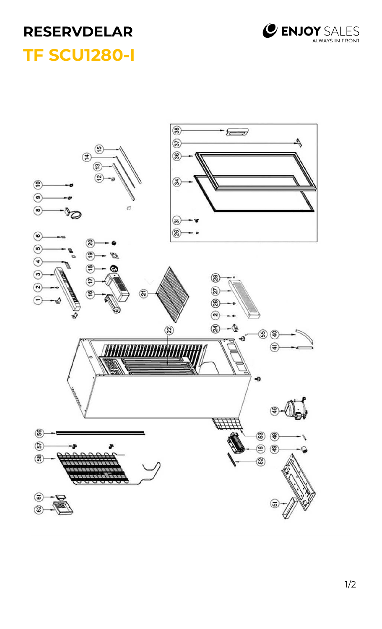

## **RESERVDELAR TF SCU1280-I**